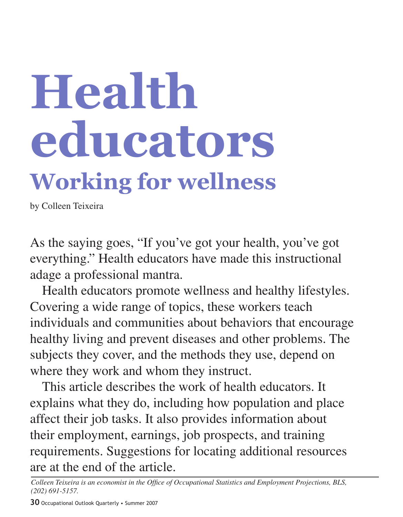# **Health educators Working for wellness**

by Colleen Teixeira

As the saying goes, "If you've got your health, you've got everything." Health educators have made this instructional adage a professional mantra.

Health educators promote wellness and healthy lifestyles. Covering a wide range of topics, these workers teach individuals and communities about behaviors that encourage healthy living and prevent diseases and other problems. The subjects they cover, and the methods they use, depend on where they work and whom they instruct.

This article describes the work of health educators. It explains what they do, including how population and place affect their job tasks. It also provides information about their employment, earnings, job prospects, and training requirements. Suggestions for locating additional resources are at the end of the article.

*Colleen Teixeira is an economist in the Office of Occupational Statistics and Employment Projections, BLS, (202) 691-5157.*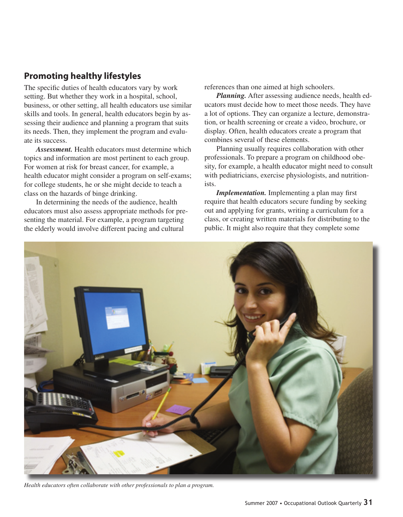# **Promoting healthy lifestyles**

The specific duties of health educators vary by work setting. But whether they work in a hospital, school, business, or other setting, all health educators use similar skills and tools. In general, health educators begin by assessing their audience and planning a program that suits its needs. Then, they implement the program and evaluate its success.

*Assessment.* Health educators must determine which topics and information are most pertinent to each group. For women at risk for breast cancer, for example, a health educator might consider a program on self-exams; for college students, he or she might decide to teach a class on the hazards of binge drinking.

In determining the needs of the audience, health educators must also assess appropriate methods for presenting the material. For example, a program targeting the elderly would involve different pacing and cultural

references than one aimed at high schoolers.

*Planning.* After assessing audience needs, health educators must decide how to meet those needs. They have a lot of options. They can organize a lecture, demonstration, or health screening or create a video, brochure, or display. Often, health educators create a program that combines several of these elements.

Planning usually requires collaboration with other professionals. To prepare a program on childhood obesity, for example, a health educator might need to consult with pediatricians, exercise physiologists, and nutritionists.

*Implementation.* Implementing a plan may first require that health educators secure funding by seeking out and applying for grants, writing a curriculum for a class, or creating written materials for distributing to the public. It might also require that they complete some



*Health educators often collaborate with other professionals to plan a program.*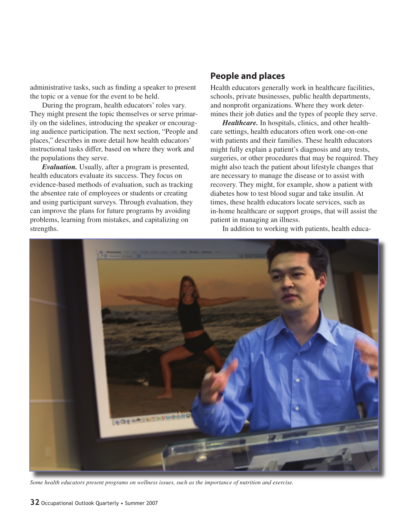administrative tasks, such as finding a speaker to present the topic or a venue for the event to be held.

During the program, health educators' roles vary. They might present the topic themselves or serve primarily on the sidelines, introducing the speaker or encouraging audience participation. The next section, "People and places," describes in more detail how health educators' instructional tasks differ, based on where they work and the populations they serve.

*Evaluation.* Usually, after a program is presented, health educators evaluate its success. They focus on evidence-based methods of evaluation, such as tracking the absentee rate of employees or students or creating and using participant surveys. Through evaluation, they can improve the plans for future programs by avoiding problems, learning from mistakes, and capitalizing on strengths.

### **People and places**

Health educators generally work in healthcare facilities, schools, private businesses, public health departments, and nonprofit organizations. Where they work determines their job duties and the types of people they serve.

*Healthcare.* In hospitals, clinics, and other healthcare settings, health educators often work one-on-one with patients and their families. These health educators might fully explain a patient's diagnosis and any tests, surgeries, or other procedures that may be required. They might also teach the patient about lifestyle changes that are necessary to manage the disease or to assist with recovery. They might, for example, show a patient with diabetes how to test blood sugar and take insulin. At times, these health educators locate services, such as in-home healthcare or support groups, that will assist the patient in managing an illness.

In addition to working with patients, health educa-



*Some health educators present programs on wellness issues, such as the importance of nutrition and exercise.*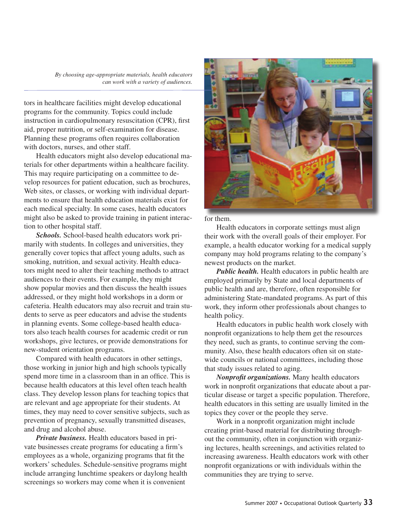*By choosing age-appropriate materials, health educators can work with a variety of audiences.*

tors in healthcare facilities might develop educational programs for the community. Topics could include instruction in cardiopulmonary resuscitation (CPR), first aid, proper nutrition, or self-examination for disease. Planning these programs often requires collaboration with doctors, nurses, and other staff.

Health educators might also develop educational materials for other departments within a healthcare facility. This may require participating on a committee to develop resources for patient education, such as brochures, Web sites, or classes, or working with individual departments to ensure that health education materials exist for each medical specialty. In some cases, health educators might also be asked to provide training in patient interaction to other hospital staff.

*Schools.* School-based health educators work primarily with students. In colleges and universities, they generally cover topics that affect young adults, such as smoking, nutrition, and sexual activity. Health educators might need to alter their teaching methods to attract audiences to their events. For example, they might show popular movies and then discuss the health issues addressed, or they might hold workshops in a dorm or cafeteria. Health educators may also recruit and train students to serve as peer educators and advise the students in planning events. Some college-based health educators also teach health courses for academic credit or run workshops, give lectures, or provide demonstrations for new-student orientation programs.

Compared with health educators in other settings, those working in junior high and high schools typically spend more time in a classroom than in an office. This is because health educators at this level often teach health class. They develop lesson plans for teaching topics that are relevant and age appropriate for their students. At times, they may need to cover sensitive subjects, such as prevention of pregnancy, sexually transmitted diseases, and drug and alcohol abuse.

*Private business.* Health educators based in private businesses create programs for educating a firm's employees as a whole, organizing programs that fit the workers' schedules. Schedule-sensitive programs might include arranging lunchtime speakers or daylong health screenings so workers may come when it is convenient



for them.

Health educators in corporate settings must align their work with the overall goals of their employer. For example, a health educator working for a medical supply company may hold programs relating to the company's newest products on the market.

*Public health.* Health educators in public health are employed primarily by State and local departments of public health and are, therefore, often responsible for administering State-mandated programs. As part of this work, they inform other professionals about changes to health policy.

Health educators in public health work closely with nonprofit organizations to help them get the resources they need, such as grants, to continue serving the community. Also, these health educators often sit on statewide councils or national committees, including those that study issues related to aging.

*Nonprofit organizations.* Many health educators work in nonprofit organizations that educate about a particular disease or target a specific population. Therefore, health educators in this setting are usually limited in the topics they cover or the people they serve.

Work in a nonprofit organization might include creating print-based material for distributing throughout the community, often in conjunction with organizing lectures, health screenings, and activities related to increasing awareness. Health educators work with other nonprofit organizations or with individuals within the communities they are trying to serve.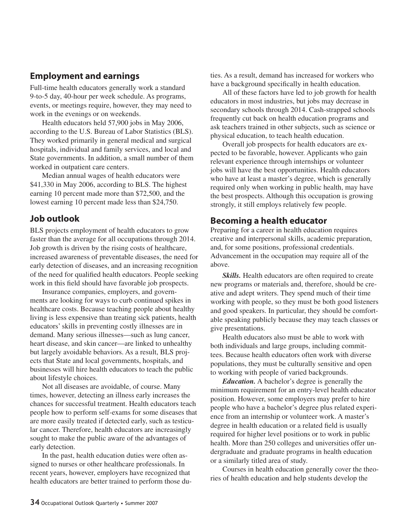### **Employment and earnings**

Full-time health educators generally work a standard 9-to-5 day, 40-hour per week schedule. As programs, events, or meetings require, however, they may need to work in the evenings or on weekends.

Health educators held 57,900 jobs in May 2006, according to the U.S. Bureau of Labor Statistics (BLS). They worked primarily in general medical and surgical hospitals, individual and family services, and local and State governments. In addition, a small number of them worked in outpatient care centers.

Median annual wages of health educators were \$41,330 in May 2006, according to BLS. The highest earning 10 percent made more than \$72,500, and the lowest earning 10 percent made less than \$24,750.

## **Job outlook**

BLS projects employment of health educators to grow faster than the average for all occupations through 2014. Job growth is driven by the rising costs of healthcare, increased awareness of preventable diseases, the need for early detection of diseases, and an increasing recognition of the need for qualified health educators. People seeking work in this field should have favorable job prospects.

Insurance companies, employers, and governments are looking for ways to curb continued spikes in healthcare costs. Because teaching people about healthy living is less expensive than treating sick patients, health educators' skills in preventing costly illnesses are in demand. Many serious illnesses—such as lung cancer, heart disease, and skin cancer—are linked to unhealthy but largely avoidable behaviors. As a result, BLS projects that State and local governments, hospitals, and businesses will hire health educators to teach the public about lifestyle choices.

Not all diseases are avoidable, of course. Many times, however, detecting an illness early increases the chances for successful treatment. Health educators teach people how to perform self-exams for some diseases that are more easily treated if detected early, such as testicular cancer. Therefore, health educators are increasingly sought to make the public aware of the advantages of early detection.

In the past, health education duties were often assigned to nurses or other healthcare professionals. In recent years, however, employers have recognized that health educators are better trained to perform those du-

ties. As a result, demand has increased for workers who have a background specifically in health education.

All of these factors have led to job growth for health educators in most industries, but jobs may decrease in secondary schools through 2014. Cash-strapped schools frequently cut back on health education programs and ask teachers trained in other subjects, such as science or physical education, to teach health education.

Overall job prospects for health educators are expected to be favorable, however. Applicants who gain relevant experience through internships or volunteer jobs will have the best opportunities. Health educators who have at least a master's degree, which is generally required only when working in public health, may have the best prospects. Although this occupation is growing strongly, it still employs relatively few people.

### **Becoming a health educator**

Preparing for a career in health education requires creative and interpersonal skills, academic preparation, and, for some positions, professional credentials. Advancement in the occupation may require all of the above.

*Skills.* Health educators are often required to create new programs or materials and, therefore, should be creative and adept writers. They spend much of their time working with people, so they must be both good listeners and good speakers. In particular, they should be comfortable speaking publicly because they may teach classes or give presentations.

Health educators also must be able to work with both individuals and large groups, including committees. Because health educators often work with diverse populations, they must be culturally sensitive and open to working with people of varied backgrounds.

*Education.* A bachelor's degree is generally the minimum requirement for an entry-level health educator position. However, some employers may prefer to hire people who have a bachelor's degree plus related experience from an internship or volunteer work. A master's degree in health education or a related field is usually required for higher level positions or to work in public health. More than 250 colleges and universities offer undergraduate and graduate programs in health education or a similarly titled area of study.

Courses in health education generally cover the theories of health education and help students develop the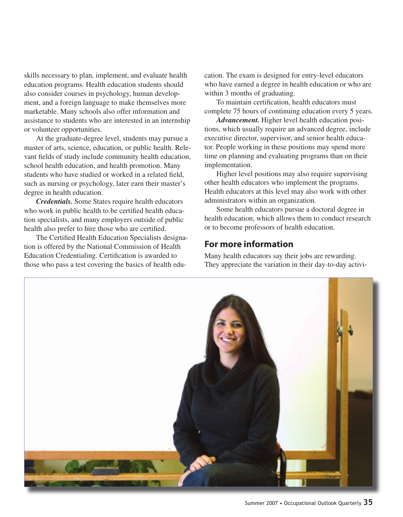skills necessary to plan, implement, and evaluate health education programs. Health education students should also consider courses in psychology, human development, and a foreign language to make themselves more marketable. Many schools also offer information and assistance to students who are interested in an internship or volunteer opportunities.

At the graduate-degree level, students may pursue a master of arts, science, education, or public health. Relevant fields of study include community health education, school health education, and health promotion. Many students who have studied or worked in a related field, such as nursing or psychology, later earn their master's degree in health education.

*Credentials.* Some States require health educators who work in public health to be certified health education specialists, and many employers outside of public health also prefer to hire those who are certified.

The Certified Health Education Specialists designation is offered by the National Commission of Health Education Credentialing. Certification is awarded to those who pass a test covering the basics of health education. The exam is designed for entry-level educators who have earned a degree in health education or who are within 3 months of graduating.

To maintain certification, health educators must complete 75 hours of continuing education every 5 years.

*Advancement.* Higher level health education positions, which usually require an advanced degree, include executive director, supervisor, and senior health educator. People working in these positions may spend more time on planning and evaluating programs than on their implementation.

Higher level positions may also require supervising other health educators who implement the programs. Health educators at this level may also work with other administrators within an organization.

Some health educators pursue a doctoral degree in health education, which allows them to conduct research or to become professors of health education.

### **For more information**

Many health educators say their jobs are rewarding. They appreciate the variation in their day-to-day activi-